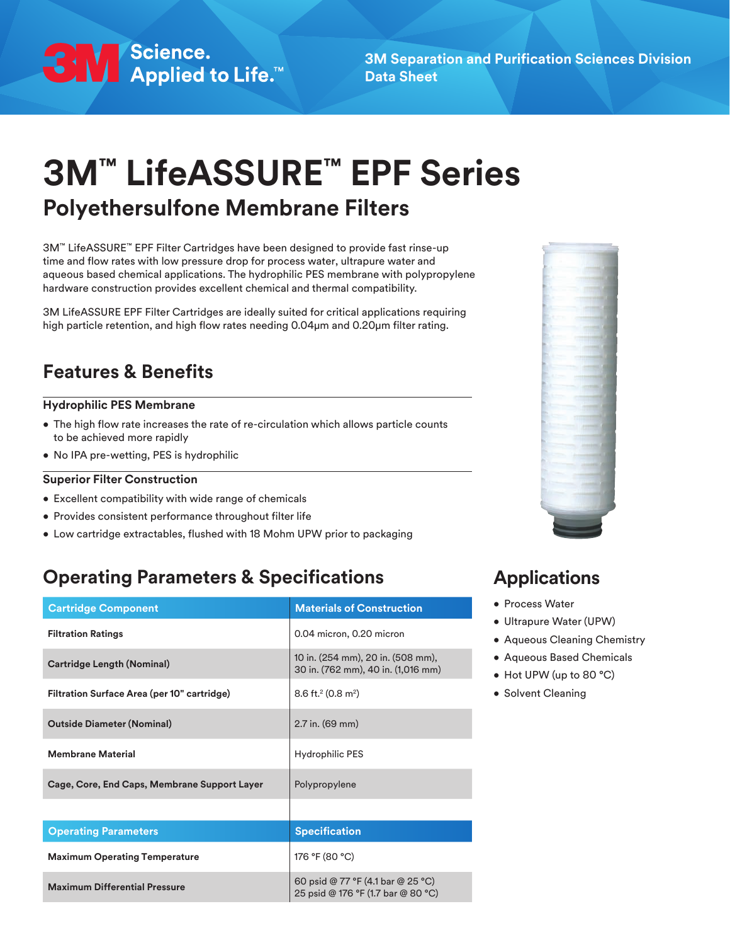

**3M Separation and Purification Sciences Division Data Sheet**

# **3M™ LifeASSURE™ EPF Series Polyethersulfone Membrane Filters**

3M™ LifeASSURE™ EPF Filter Cartridges have been designed to provide fast rinse-up time and flow rates with low pressure drop for process water, ultrapure water and aqueous based chemical applications. The hydrophilic PES membrane with polypropylene hardware construction provides excellent chemical and thermal compatibility.

3M LifeASSURE EPF Filter Cartridges are ideally suited for critical applications requiring high particle retention, and high flow rates needing 0.04μm and 0.20μm filter rating.

# **Features & Benefits**

### **Hydrophilic PES Membrane**

- The high flow rate increases the rate of re-circulation which allows particle counts to be achieved more rapidly
- No IPA pre-wetting, PES is hydrophilic

### **Superior Filter Construction**

- Excellent compatibility with wide range of chemicals
- Provides consistent performance throughout filter life
- Low cartridge extractables, flushed with 18 Mohm UPW prior to packaging

### **Operating Parameters & Specifications**

| <b>Cartridge Component</b>                                                                                      | <b>Materials of Construction</b>                                        |  |  |
|-----------------------------------------------------------------------------------------------------------------|-------------------------------------------------------------------------|--|--|
| <b>Filtration Ratings</b>                                                                                       | 0.04 micron, 0.20 micron                                                |  |  |
| <b>Cartridge Length (Nominal)</b>                                                                               | 10 in. (254 mm), 20 in. (508 mm),<br>30 in. (762 mm), 40 in. (1,016 mm) |  |  |
| Filtration Surface Area (per 10" cartridge)                                                                     | $8.6$ ft. <sup>2</sup> (0.8 m <sup>2</sup> )                            |  |  |
| <b>Outside Diameter (Nominal)</b>                                                                               | 2.7 in. (69 mm)                                                         |  |  |
| <b>Membrane Material</b>                                                                                        | Hydrophilic PES                                                         |  |  |
| Cage, Core, End Caps, Membrane Support Layer                                                                    | Polypropylene                                                           |  |  |
|                                                                                                                 |                                                                         |  |  |
| <b>Operating Parameters</b>                                                                                     | <b>Specification</b>                                                    |  |  |
| <b>Maximum Operating Temperature</b>                                                                            | 176 °F (80 °C)                                                          |  |  |
| 60 psid @ 77 °F (4.1 bar @ 25 °C)<br><b>Maximum Differential Pressure</b><br>25 psid @ 176 °F (1.7 bar @ 80 °C) |                                                                         |  |  |



### **Applications**

- Process Water
- Ultrapure Water (UPW)
- Aqueous Cleaning Chemistry
- Aqueous Based Chemicals
- Hot UPW (up to 80 °C)
- Solvent Cleaning